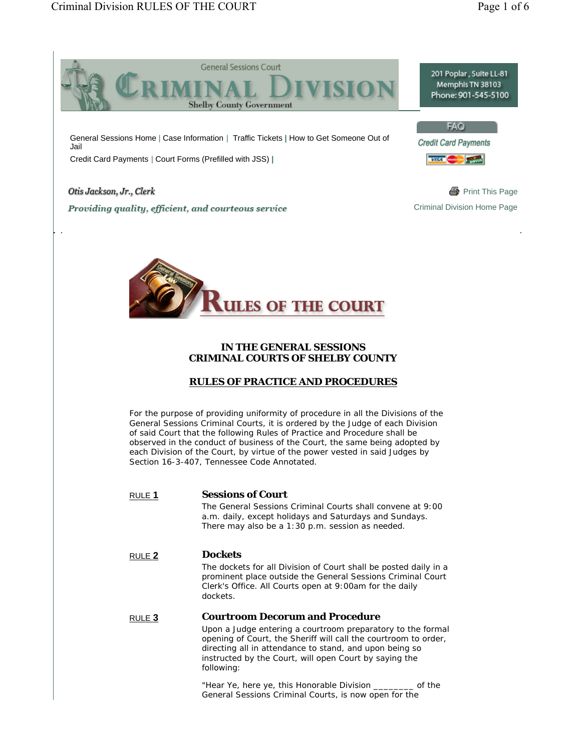



## **IN THE GENERAL SESSIONS CRIMINAL COURTS OF SHELBY COUNTY**

# **RULES OF PRACTICE AND PROCEDURES**

For the purpose of providing uniformity of procedure in all the Divisions of the General Sessions Criminal Courts, it is ordered by the Judge of each Division of said Court that the following Rules of Practice and Procedure shall be observed in the conduct of business of the Court, the same being adopted by each Division of the Court, by virtue of the power vested in said Judges by Section 16-3-407, Tennessee Code Annotated.

| RULE 1 | <b>Sessions of Court</b><br>The General Sessions Criminal Courts shall convene at 9:00                                                                                                                                                                                                                      |
|--------|-------------------------------------------------------------------------------------------------------------------------------------------------------------------------------------------------------------------------------------------------------------------------------------------------------------|
|        | a.m. daily, except holidays and Saturdays and Sundays.<br>There may also be a 1:30 p.m. session as needed.                                                                                                                                                                                                  |
| RULE 2 | <b>Dockets</b>                                                                                                                                                                                                                                                                                              |
|        | The dockets for all Division of Court shall be posted daily in a<br>prominent place outside the General Sessions Criminal Court<br>Clerk's Office. All Courts open at 9:00am for the daily<br>dockets.                                                                                                      |
| RULE 3 | <b>Courtroom Decorum and Procedure</b><br>Upon a Judge entering a courtroom preparatory to the formal<br>opening of Court, the Sheriff will call the courtroom to order,<br>directing all in attendance to stand, and upon being so<br>instructed by the Court, will open Court by saying the<br>following: |
|        | "Hear Ye, here ye, this Honorable Division ________ of the<br>General Sessions Criminal Courts, is now open for the                                                                                                                                                                                         |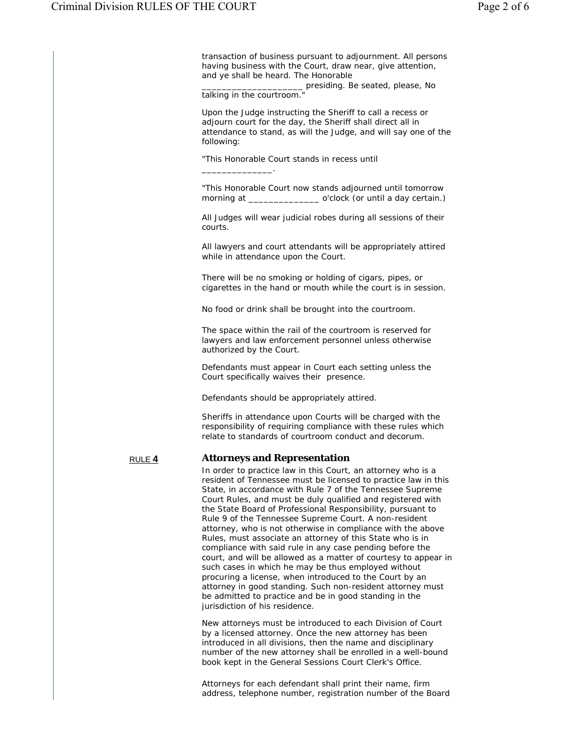transaction of business pursuant to adjournment. All persons having business with the Court, draw near, give attention, and ye shall be heard. The Honorable

\_\_\_\_\_\_\_\_\_\_\_\_\_\_\_\_\_\_\_\_ presiding. Be seated, please, No talking in the courtroom."

Upon the Judge instructing the Sheriff to call a recess or adjourn court for the day, the Sheriff shall direct all in attendance to stand, as will the Judge, and will say one of the following:

"This Honorable Court stands in recess until \_\_\_\_\_\_\_\_\_\_\_\_\_\_.

"This Honorable Court now stands adjourned until tomorrow<br>morning at o'clock (or until a day certain.) \_ o'clock (or until a day certain.)

All Judges will wear judicial robes during all sessions of their courts.

 All lawyers and court attendants will be appropriately attired while in attendance upon the Court.

 There will be no smoking or holding of cigars, pipes, or cigarettes in the hand or mouth while the court is in session.

No food or drink shall be brought into the courtroom.

The space within the rail of the courtroom is reserved for lawyers and law enforcement personnel unless otherwise authorized by the Court.

 Defendants must appear in Court each setting unless the Court specifically waives their presence.

Defendants should be appropriately attired.

Sheriffs in attendance upon Courts will be charged with the responsibility of requiring compliance with these rules which relate to standards of courtroom conduct and decorum.

#### RULE **4 Attorneys and Representation**

In order to practice law in this Court, an attorney who is a resident of Tennessee must be licensed to practice law in this State, in accordance with Rule 7 of the Tennessee Supreme Court Rules, and must be duly qualified and registered with the State Board of Professional Responsibility, pursuant to Rule 9 of the Tennessee Supreme Court. A non-resident attorney, who is not otherwise in compliance with the above Rules, must associate an attorney of this State who is in compliance with said rule in any case pending before the court, and will be allowed as a matter of courtesy to appear in such cases in which he may be thus employed without procuring a license, when introduced to the Court by an attorney in good standing. Such non-resident attorney must be admitted to practice and be in good standing in the jurisdiction of his residence.

New attorneys must be introduced to each Division of Court by a licensed attorney. Once the new attorney has been introduced in all divisions, then the name and disciplinary number of the new attorney shall be enrolled in a well-bound book kept in the General Sessions Court Clerk's Office.

Attorneys for each defendant shall print their name, firm address, telephone number, registration number of the Board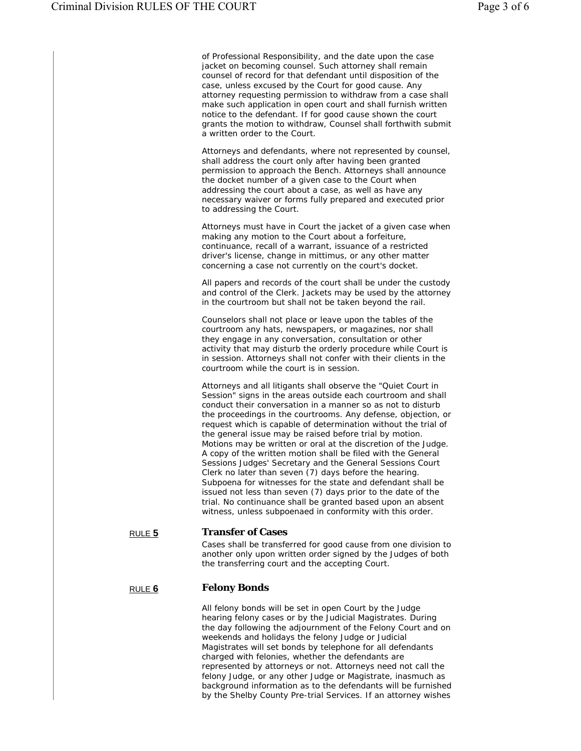of Professional Responsibility, and the date upon the case jacket on becoming counsel. Such attorney shall remain counsel of record for that defendant until disposition of the case, unless excused by the Court for good cause. Any attorney requesting permission to withdraw from a case shall make such application in open court and shall furnish written notice to the defendant. If for good cause shown the court grants the motion to withdraw, Counsel shall forthwith submit a written order to the Court.

Attorneys and defendants, where not represented by counsel, shall address the court only after having been granted permission to approach the Bench. Attorneys shall announce the docket number of a given case to the Court when addressing the court about a case, as well as have any necessary waiver or forms fully prepared and executed prior to addressing the Court.

Attorneys must have in Court the jacket of a given case when making any motion to the Court about a forfeiture, continuance, recall of a warrant, issuance of a restricted driver's license, change in mittimus, or any other matter concerning a case not currently on the court's docket.

All papers and records of the court shall be under the custody and control of the Clerk. Jackets may be used by the attorney in the courtroom but shall not be taken beyond the rail.

Counselors shall not place or leave upon the tables of the courtroom any hats, newspapers, or magazines, nor shall they engage in any conversation, consultation or other activity that may disturb the orderly procedure while Court is in session. Attorneys shall not confer with their clients in the courtroom while the court is in session.

Attorneys and all litigants shall observe the "Quiet Court in Session" signs in the areas outside each courtroom and shall conduct their conversation in a manner so as not to disturb the proceedings in the courtrooms. Any defense, objection, or request which is capable of determination without the trial of the general issue may be raised before trial by motion. Motions may be written or oral at the discretion of the Judge. A copy of the written motion shall be filed with the General Sessions Judges' Secretary and the General Sessions Court Clerk no later than seven (7) days before the hearing. Subpoena for witnesses for the state and defendant shall be issued not less than seven (7) days prior to the date of the trial. No continuance shall be granted based upon an absent witness, unless subpoenaed in conformity with this order.

#### RULE **5 Transfer of Cases**

Cases shall be transferred for good cause from one division to another only upon written order signed by the Judges of both the transferring court and the accepting Court.

#### RULE **6 Felony Bonds**

All felony bonds will be set in open Court by the Judge hearing felony cases or by the Judicial Magistrates. During the day following the adjournment of the Felony Court and on weekends and holidays the felony Judge or Judicial Magistrates will set bonds by telephone for all defendants charged with felonies, whether the defendants are represented by attorneys or not. Attorneys need not call the felony Judge, or any other Judge or Magistrate, inasmuch as background information as to the defendants will be furnished by the Shelby County Pre-trial Services. If an attorney wishes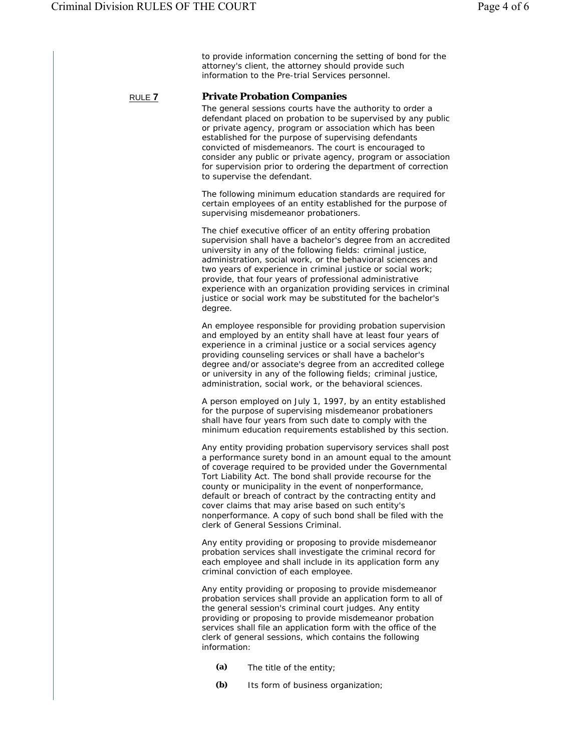to provide information concerning the setting of bond for the attorney's client, the attorney should provide such information to the Pre-trial Services personnel.

### RULE **7 Private Probation Companies**

The general sessions courts have the authority to order a defendant placed on probation to be supervised by any public or private agency, program or association which has been established for the purpose of supervising defendants convicted of misdemeanors. The court is encouraged to consider any public or private agency, program or association for supervision prior to ordering the department of correction to supervise the defendant.

The following minimum education standards are required for certain employees of an entity established for the purpose of supervising misdemeanor probationers.

The chief executive officer of an entity offering probation supervision shall have a bachelor's degree from an accredited university in any of the following fields: criminal justice, administration, social work, or the behavioral sciences and two years of experience in criminal justice or social work; provide, that four years of professional administrative experience with an organization providing services in criminal justice or social work may be substituted for the bachelor's degree.

An employee responsible for providing probation supervision and employed by an entity shall have at least four years of experience in a criminal justice or a social services agency providing counseling services or shall have a bachelor's degree and/or associate's degree from an accredited college or university in any of the following fields; criminal justice, administration, social work, or the behavioral sciences.

A person employed on July 1, 1997, by an entity established for the purpose of supervising misdemeanor probationers shall have four years from such date to comply with the minimum education requirements established by this section.

Any entity providing probation supervisory services shall post a performance surety bond in an amount equal to the amount of coverage required to be provided under the Governmental Tort Liability Act. The bond shall provide recourse for the county or municipality in the event of nonperformance, default or breach of contract by the contracting entity and cover claims that may arise based on such entity's nonperformance. A copy of such bond shall be filed with the clerk of General Sessions Criminal.

Any entity providing or proposing to provide misdemeanor probation services shall investigate the criminal record for each employee and shall include in its application form any criminal conviction of each employee.

Any entity providing or proposing to provide misdemeanor probation services shall provide an application form to all of the general session's criminal court judges. Any entity providing or proposing to provide misdemeanor probation services shall file an application form with the office of the clerk of general sessions, which contains the following information:

- **(a)** The title of the entity;
- **(b)** Its form of business organization;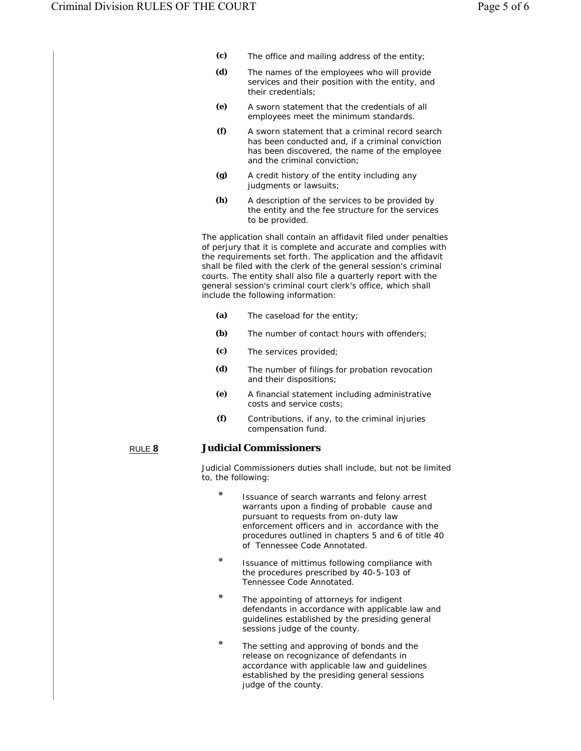- **(c)** The office and mailing address of the entity;
- **(d)** The names of the employees who will provide services and their position with the entity, and their credentials;
- **(e)** A sworn statement that the credentials of all employees meet the minimum standards.
- **(f)** A sworn statement that a criminal record search has been conducted and, if a criminal conviction has been discovered, the name of the employee and the criminal conviction;
- **(g)** A credit history of the entity including any judgments or lawsuits;
- **(h)** A description of the services to be provided by the entity and the fee structure for the services to be provided.

The application shall contain an affidavit filed under penalties of perjury that it is complete and accurate and complies with the requirements set forth. The application and the affidavit shall be filed with the clerk of the general session's criminal courts. The entity shall also file a quarterly report with the general session's criminal court clerk's office, which shall include the following information:

- **(a)** The caseload for the entity;
- **(b)** The number of contact hours with offenders;
- **(c)** The services provided;
- **(d)** The number of filings for probation revocation and their dispositions;
	- **(e)** A financial statement including administrative costs and service costs;
	- **(f)** Contributions, if any, to the criminal injuries compensation fund.

# RULE **8 Judicial Commissioners**

Judicial Commissioners duties shall include, but not be limited to, the following:

- Issuance of search warrants and felony arrest warrants upon a finding of probable cause and pursuant to requests from on-duty law enforcement officers and in accordance with the procedures outlined in chapters 5 and 6 of title 40 of Tennessee Code Annotated.
- ۰ Issuance of mittimus following compliance with the procedures prescribed by 40-5-103 of Tennessee Code Annotated.
- ۰ The appointing of attorneys for indigent defendants in accordance with applicable law and guidelines established by the presiding general sessions judge of the county.
- $\mathbf{a}$ The setting and approving of bonds and the release on recognizance of defendants in accordance with applicable law and guidelines established by the presiding general sessions judge of the county.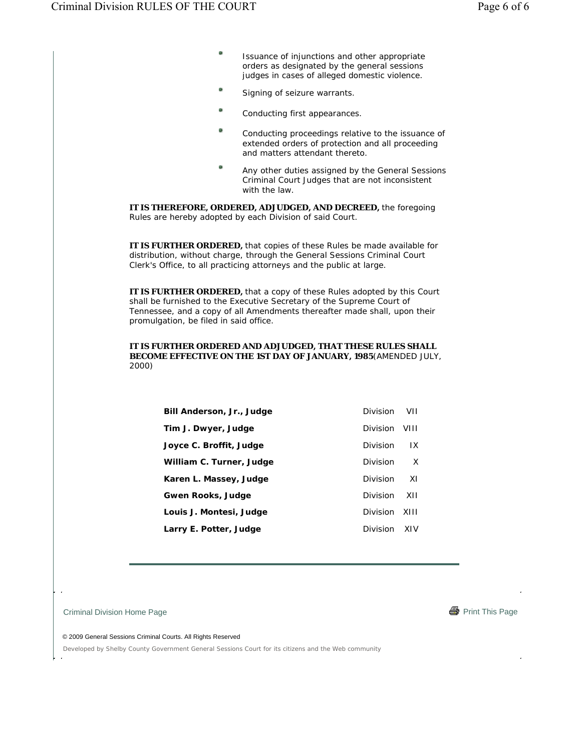- $\bullet$ Issuance of injunctions and other appropriate orders as designated by the general sessions judges in cases of alleged domestic violence.
- Signing of seizure warrants.
- Conducting first appearances.
- Conducting proceedings relative to the issuance of extended orders of protection and all proceeding and matters attendant thereto.
- $\mathbf{a}$ Any other duties assigned by the General Sessions Criminal Court Judges that are not inconsistent with the law.

**IT IS THEREFORE, ORDERED, ADJUDGED, AND DECREED,** the foregoing Rules are hereby adopted by each Division of said Court.

**IT IS FURTHER ORDERED,** that copies of these Rules be made available for distribution, without charge, through the General Sessions Criminal Court Clerk's Office, to all practicing attorneys and the public at large.

**IT IS FURTHER ORDERED,** that a copy of these Rules adopted by this Court shall be furnished to the Executive Secretary of the Supreme Court of Tennessee, and a copy of all Amendments thereafter made shall, upon their promulgation, be filed in said office.

#### **IT IS FURTHER ORDERED AND ADJUDGED, THAT THESE RULES SHALL BECOME EFFECTIVE ON THE 1ST DAY OF JANUARY, 1985**(AMENDED JULY, 2000)

| Bill Anderson, Jr., Judge | <b>Division</b><br>VII.  |
|---------------------------|--------------------------|
| Tim J. Dwyer, Judge       | <b>Division</b><br>VIII  |
| Joyce C. Broffit, Judge   | <b>Division</b><br>IX    |
| William C. Turner, Judge  | <b>Division</b><br>X     |
| Karen L. Massey, Judge    | <b>Division</b><br>-XI   |
| <b>Gwen Rooks, Judge</b>  | XII<br>Division          |
| Louis J. Montesi, Judge   | <b>Division</b><br>-XIII |
| Larry E. Potter, Judge    | <b>Division</b><br>XIV   |
|                           |                          |

Criminal Division Home Page Print This Page Print This Page Print This Page Print This Page



© 2009 General Sessions Criminal Courts. All Rights Reserved

Developed by Shelby County Government General Sessions Court for its citizens and the Web community